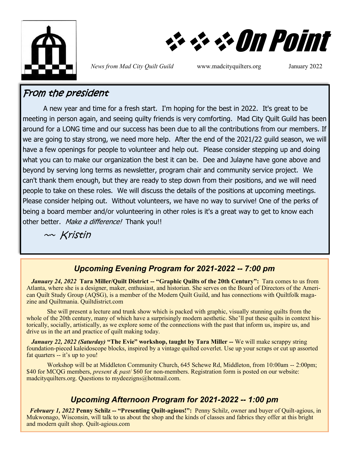

❖❖❖On Point

*News from Mad City Quilt Guild* www.madcityquilters.org January 2022

### From the president

A new year and time for a fresh start. I'm hoping for the best in 2022. It's great to be meeting in person again, and seeing quilty friends is very comforting. Mad City Quilt Guild has been around for a LONG time and our success has been due to all the contributions from our members. If we are going to stay strong, we need more help. After the end of the 2021/22 guild season, we will have a few openings for people to volunteer and help out. Please consider stepping up and doing what you can to make our organization the best it can be. Dee and Julayne have gone above and beyond by serving long terms as newsletter, program chair and community service project. We can't thank them enough, but they are ready to step down from their positions, and we will need people to take on these roles. We will discuss the details of the positions at upcoming meetings. Please consider helping out. Without volunteers, we have no way to survive! One of the perks of being a board member and/or volunteering in other roles is it's a great way to get to know each other better. Make a difference! Thank you!!

 $\sim$  Kristin

### *Upcoming Evening Program for 2021-2022 -- 7:00 pm*

 *January 24, 2022* **Tara Miller/Quilt District -- "Graphic Quilts of the 20th Century":** Tara comes to us from Atlanta, where she is a designer, maker, enthusiast, and historian. She serves on the Board of Directors of the American Quilt Study Group (AQSG), is a member of the Modern Quilt Guild, and has connections with Quiltfolk magazine and Quiltmania. Quiltdistrict.com

She will present a lecture and trunk show which is packed with graphic, visually stunning quilts from the whole of the 20th century, many of which have a surprisingly modern aesthetic. She'll put these quilts in context historically, socially, artistically, as we explore some of the connections with the past that inform us, inspire us, and drive us in the art and practice of quilt making today.

 *January 22, 2022 (Saturday)* **"The Evie" workshop, taught by Tara Miller --** We will make scrappy string foundation-pieced kaleidoscope blocks, inspired by a vintage quilted coverlet. Use up your scraps or cut up assorted fat quarters -- it's up to you!

Workshop will be at Middleton Community Church, 645 Schewe Rd, Middleton, from 10:00am -- 2:00pm; \$40 for MCQG members, *present & past*/ \$60 for non-members. Registration form is posted on our website: madcityquilters.org. Questions to mydeezigns@hotmail.com.

### *Upcoming Afternoon Program for 2021-2022 -- 1:00 pm*

*February 1, 2022* **Penny Schilz -- "Presenting Quilt-agious!":** Penny Schilz, owner and buyer of Quilt-agious, in Mukwonago, Wisconsin, will talk to us about the shop and the kinds of classes and fabrics they offer at this bright and modern quilt shop. Quilt-agious.com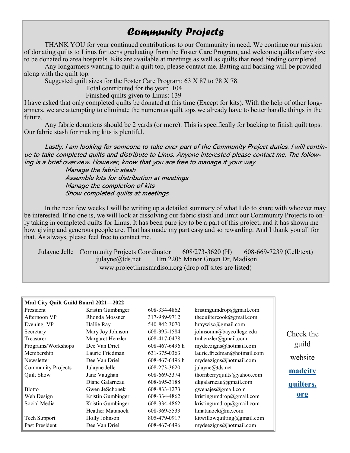# *Community Projects*

THANK YOU for your continued contributions to our Community in need. We continue our mission of donating quilts to Linus for teens graduating from the Foster Care Program, and welcome quilts of any size to be donated to area hospitals. Kits are available at meetings as well as quilts that need binding completed.

Any longarmers wanting to quilt a quilt top, please contact me. Batting and backing will be provided along with the quilt top.

Suggested quilt sizes for the Foster Care Program: 63 X 87 to 78 X 78.

Total contributed for the year: 104

Finished quilts given to Linus: 139

I have asked that only completed quilts be donated at this time (Except for kits). With the help of other longarmers, we are attempting to eliminate the numerous quilt tops we already have to better handle things in the future.

Any fabric donations should be 2 yards (or more). This is specifically for backing to finish quilt tops. Our fabric stash for making kits is plentiful.

Lastly, I am looking for someone to take over part of the Community Project duties. I will continue to take completed quilts and distribute to Linus. Anyone interested please contact me. The following is a brief overview. However, know that you are free to manage it your way.

> Manage the fabric stash Assemble kits for distribution at meetings Manage the completion of kits Show completed quilts at meetings

In the next few weeks I will be writing up a detailed summary of what I do to share with whoever may be interested. If no one is, we will look at dissolving our fabric stash and limit our Community Projects to only taking in completed quilts for Linus. It has been pure joy to be a part of this project, and it has shown me how giving and generous people are. That has made my part easy and so rewarding. And I thank you all for that. As always, please feel free to contact me.

Julayne Jelle Community Projects Coordinator 608/273-3620 (H) 608-669-7239 (Cell/text) julayne@tds.net Hm 2205 Manor Green Dr, Madison www.projectlinusmadison.org (drop off sites are listed)

| Mad City Quilt Guild Board 2021-2022 |                         |                |                             |  |  |
|--------------------------------------|-------------------------|----------------|-----------------------------|--|--|
| President                            | Kristin Gumbinger       | 608-334-4862   | kristingumdrop@gmail.com    |  |  |
| Afternoon VP                         | Rhonda Mossner          | 317-989-9712   | thequiltercook@gmail.com    |  |  |
| Evening VP                           | Hallie Ray              | 540-842-3070   | $hraywise$ @gmail.com       |  |  |
| Secretary                            | Mary Joy Johnson        | 608-395-1584   | johnsonm@baycollege.edu     |  |  |
| Treasurer                            | Margaret Henzler        | 608-417-0478   | tmhenzler@gmail.com         |  |  |
| Programs/Workshops                   | Dee Van Driel           | 608-467-6496 h | mydeezigns@hotmail.com      |  |  |
| Membership                           | Laurie Friedman         | 631-375-0363   | laurie.friedman@hotmail.com |  |  |
| Newsletter                           | Dee Van Driel           | 608-467-6496 h | mydeezigns@hotmail.com      |  |  |
| <b>Community Projects</b>            | Julayne Jelle           | 608-273-3620   | julayne@tds.net             |  |  |
| Quilt Show                           | Jane Vaughan            | 608-669-3374   | thornberryquilts@yahoo.com  |  |  |
|                                      | Diane Galarneau         | 608-695-3188   | dkgalarneau@gmail.com       |  |  |
| <b>Blotto</b>                        | Gwen JeSchonek          | 608-833-1273   | gwenajes@gmail.com          |  |  |
| Web Design                           | Kristin Gumbinger       | 608-334-4862   | kristingumdrop@gmail.com    |  |  |
| Social Media                         | Kristin Gumbinger       | 608-334-4862   | kristingumdrop@gmail.com    |  |  |
|                                      | <b>Heather Matanock</b> | 608-369-5533   | hmatanock@me.com            |  |  |
| Tech Support                         | Holly Johnson           | 805-479-0917   | kitwillowquilting@gmail.com |  |  |
| Past President                       | Dee Van Driel           | 608-467-6496   | mydeezigns@hotmail.com      |  |  |

Check the guild website **[madcity](#page-2-0) [quilters.](#page-2-0) [org](#page-2-0)**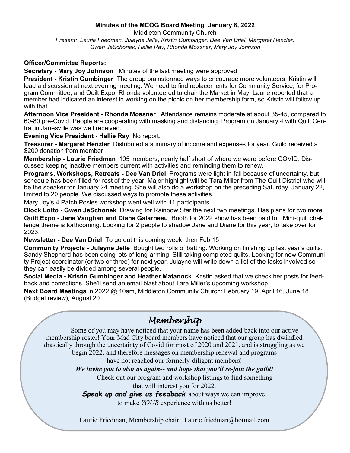#### **Minutes of the MCQG Board Meeting January 8, 2022**

<span id="page-2-0"></span>Middleton Community Church *Present: Laurie Friedman, Julayne Jelle, Kristin Gumbinger, Dee Van Driel, Margaret Henzler, Gwen JeSchonek, Hallie Ray, Rhonda Mossner, Mary Joy Johnson*

#### **Officer/Committee Reports:**

**Secretary - Mary Joy Johnson** Minutes of the last meeting were approved

**President - Kristin Gumbinger** The group brainstormed ways to encourage more volunteers. Kristin will lead a discussion at next evening meeting. We need to find replacements for Community Service, for Program Committee, and Quilt Expo. Rhonda volunteered to chair the Market in May. Laurie reported that a member had indicated an interest in working on the picnic on her membership form, so Kristin will follow up with that.

**Afternoon Vice President - Rhonda Mossner** Attendance remains moderate at about 35-45, compared to 60-80 pre-Covid. People are cooperating with masking and distancing. Program on January 4 with Quilt Central in Janesville was well received.

**Evening Vice President - Hallie Ray** No report.

**Treasurer - Margaret Henzler** Distributed a summary of income and expenses for year. Guild received a \$200 donation from member

**Membership - Laurie Friedman** 105 members, nearly half short of where we were before COVID. Discussed keeping inactive members current with activities and reminding them to renew.

**Programs, Workshops, Retreats - Dee Van Driel** Programs were light in fall because of uncertainty, but schedule has been filled for rest of the year. Major highlight will be Tara Miller from The Quilt District who will be the speaker for January 24 meeting. She will also do a workshop on the preceding Saturday, January 22, limited to 20 people. We discussed ways to promote these activities.

Mary Joy's 4 Patch Posies workshop went well with 11 participants.

**Block Lotto - Gwen JeSchonek** Drawing for Rainbow Star the next two meetings. Has plans for two more. **Quilt Expo - Jane Vaughan and Diane Galarneau** Booth for 2022 show has been paid for. Mini-quilt challenge theme is forthcoming. Looking for 2 people to shadow Jane and Diane for this year, to take over for 2023.

**Newsletter - Dee Van Driel** To go out this coming week, then Feb 15

**Community Projects - Julayne Jelle** Bought two rolls of batting. Working on finishing up last year's quilts. Sandy Shepherd has been doing lots of long-arming. Still taking completed quilts. Looking for new Community Project coordinator (or two or three) for next year. Julayne will write down a list of the tasks involved so they can easily be divided among several people.

**Social Media - Kristin Gumbinger and Heather Matanock** Kristin asked that we check her posts for feedback and corrections. She'll send an email blast about Tara Miller's upcoming workshop.

**Next Board Meetings** in 2022 @ 10am, Middleton Community Church: February 19, April 16, June 18 (Budget review), August 20

## *Membership*

Some of you may have noticed that your name has been added back into our active membership roster! Your Mad City board members have noticed that our group has dwindled drastically through the uncertainty of Covid for most of 2020 and 2021, and is struggling as we begin 2022, and therefore messages on membership renewal and programs have not reached our formerly-diligent members!

*We invite you to visit us again-- and hope that you'll re-join the guild!*

Check out our program and workshop listings to find something

that will interest you for 2022.

*Speak up and give us feedback* about ways we can improve,

to make *YOUR* experience with us better!

Laurie Friedman, Membership chair Laurie.friedman@hotmail.com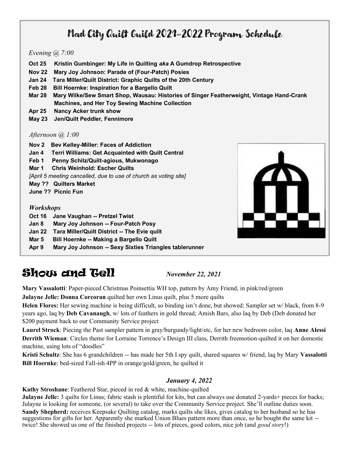# Mad City Quilt Guild 2021-2022 Program Schedule

#### *Evening @ 7:00*

- **Oct 25 Kristin Gumbinger: My Life in Quilting** *aka* **A Gumdrop Retrospective**
- **Nov 22 Mary Joy Johnson: Parade of (Four-Patch) Posies**
- **Jan 24 Tara Miller/Quilt District: Graphic Quilts of the 20th Century**
- **Feb 28 Bill Hoernke: Inspiration for a Bargello Quilt**
- **Mar 28 Mary Wilke/Sew Smart Shop, Wausau: Histories of Singer Featherweight, Vintage Hand-Crank Machines, and Her Toy Sewing Machine Collection**
- **Apr 25 Nancy Acker trunk show**
- **May 23 Jen/Quilt Peddler, Fennimore**

#### *Afternoon @ 1:00*

- **Nov 2 Bev Kelley-Miller: Faces of Addiction**
- **Jan 4 Terri Williams: Get Acquainted with Quilt Central**
- **Feb 1 Penny Schilz/Quilt-agious, Mukwonago**
- **Mar 1 Chris Weinhold: Escher Quilts**

*[April 5 meeting cancelled, due to use of church as voting site]*

- **May ?? Quilters Market**
- **June ?? Picnic Fun**

#### *Workshops*

- **Oct 16 Jane Vaughan -- Pretzel Twist**
- **Jan 8 Mary Joy Johnson -- Four-Patch Posy**
- **Jan 22 Tara Miller/Quilt District -- The Evie quilt**
- **Mar 5 Bill Hoernke -- Making a Bargello Quilt**
- **Apr 9 Mary Joy Johnson -- Sexy Sixties Triangles tablerunner**



# **Show and Gell** *November 22, 2021*

**Mary Vassalotti**: Paper-pieced Christmas Poinsettia WH top, pattern by Amy Friend, in pink/red/green **Julayne Jelle: Donna Corcoran** quilted her own Linus quilt, plus 5 more quilts

**Helen Flores:** Her sewing machine is being difficult, so binding isn't done, but showed: Sampler set w/ black, from 8-9 years ago, laq by **Deb Cavanaugh**, w/ lots of feathers in gold thread; Amish Bars, also laq by Deb (Deb donated her

\$200 payment back to our Community Service project **Laurel Strock**: Piecing the Past sampler pattern in gray/burgundy/light/etc, for her new bedroom color, laq **Anne Alessi**

**Derrith Wieman**: Circles theme for Lorraine Torrence's Design III class, Derrith freemotion-quilted it on her domestic machine, using lots of "doodles"

**Kristi Schultz**: She has 6 grandchildren -- has made her 5th I spy quilt, shared squares w/ friend, laq by Mary **Vassalotti Bill Hoernke**: bed-sized Fall-ish 4PP in orange/gold/green, he quilted it

### *January 4, 2022*

**Kathy Stroshane**: Feathered Star, pieced in red & white, machine-quilted

**Julayne Jelle:** 3 quilts for Linus; fabric stash is plentiful for kits, but can always use donated 2-yards+ pieces for backs; Julayne is looking for someone, (or several) to take over the Community Service project. She'll outline duties soon.

**Sandy Shepherd:** receives Keepsake Quilting catalog, marks quilts she likes, gives catalog to her husband so he has suggestions for gifts for her. Apparently she marked Union Blues pattern more than once, so he bought the same kit - twice! She showed us one of the finished projects -- lots of pieces, good colors, nice job (and *good story*!)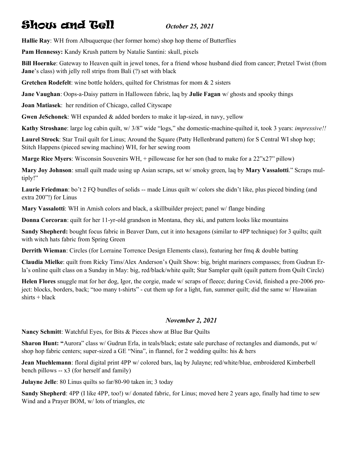# Show and Tell *October 25, 2021*

**Hallie Ray**: WH from Albuquerque (her former home) shop hop theme of Butterflies

**Pam Hennessy:** Kandy Krush pattern by Natalie Santini: skull, pixels

**Bill Hoernke**: Gateway to Heaven quilt in jewel tones, for a friend whose husband died from cancer; Pretzel Twist (from **Jane**'s class) with jelly roll strips from Bali (?) set with black

**Gretchen Rodefelt**: wine bottle holders, quilted for Christmas for mom & 2 sisters

**Jane Vaughan**: Oops-a-Daisy pattern in Halloween fabric, laq by **Julie Fagan** w/ ghosts and spooky things

**Joan Matiasek**: her rendition of Chicago, called Cityscape

**Gwen JeSchonek**: WH expanded & added borders to make it lap-sized, in navy, yellow

**Kathy Stroshane**: large log cabin quilt, w/ 3/8" wide "logs," she domestic-machine-quilted it, took 3 years: *impressive!!*

**Laurel Strock**: Star Trail quilt for Linus; Around the Square (Patty Hellenbrand pattern) for S Central WI shop hop; Stitch Happens (pieced sewing machine) WH, for her sewing room

**Marge Rice Myers**: Wisconsin Souvenirs WH, + pillowcase for her son (had to make for a 22"x27" pillow)

**Mary Joy Johnson**: small quilt made using up Asian scraps, set w/ smoky green, laq by **Mary Vassalotti**." Scraps multiply!"

Laurie Friedman: bo't 2 FO bundles of solids -- made Linus quilt w/ colors she didn't like, plus pieced binding (and extra 200"!) for Linus

**Mary Vassalotti**: WH in Amish colors and black, a skillbuilder project; panel w/ flange binding

**Donna Corcoran**: quilt for her 11-yr-old grandson in Montana, they ski, and pattern looks like mountains

**Sandy Shepherd:** bought focus fabric in Beaver Dam, cut it into hexagons (similar to 4PP technique) for 3 quilts; quilt with witch hats fabric from Spring Green

**Derrith Wieman**: Circles (for Lorraine Torrence Design Elements class), featuring her fmq & double batting

**Claudia Mielke**: quilt from Ricky Tims/Alex Anderson's Quilt Show: big, bright mariners compasses; from Gudrun Erla's online quilt class on a Sunday in May: big, red/black/white quilt; Star Sampler quilt (quilt pattern from Quilt Circle)

**Helen Flores** snuggle mat for her dog, Igor, the corgie, made w/ scraps of fleece; during Covid, finished a pre-2006 project: blocks, borders, back; "too many t-shirts" - cut them up for a light, fun, summer quilt; did the same w/ Hawaiian  $shirts + black$ 

#### *November 2, 2021*

**Nancy Schmitt**: Watchful Eyes, for Bits & Pieces show at Blue Bar Quilts

**Sharon Hunt: "Aurora" class w/ Gudrun Erla, in teals/black; estate sale purchase of rectangles and diamonds, put w/** shop hop fabric centers; super-sized a GE "Nina", in flannel, for 2 wedding quilts: his  $\&$  hers

**Jean Muehlemann**: floral digital print 4PP w/ colored bars, laq by Julayne; red/white/blue, embroidered Kimberbell bench pillows -- x3 (for herself and family)

**Julayne Jelle**: 80 Linus quilts so far/80-90 taken in; 3 today

**Sandy Shepherd**: 4PP (I like 4PP, too!) w/ donated fabric, for Linus; moved here 2 years ago, finally had time to sew Wind and a Prayer BOM, w/ lots of triangles, etc